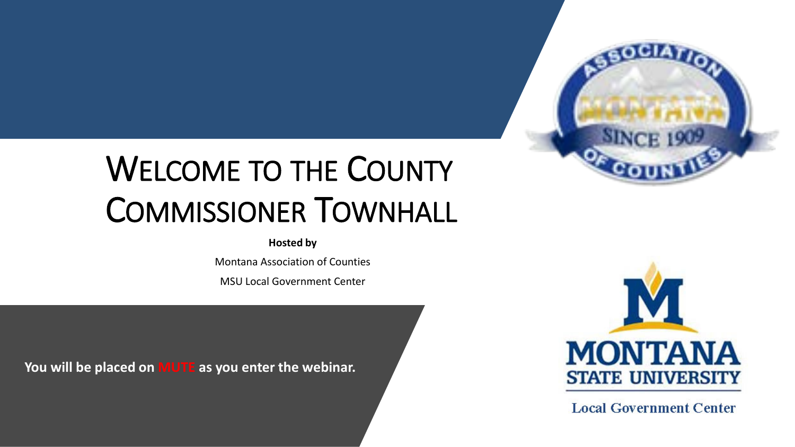

# WELCOME TO THE COUNTY COMMISSIONER TOWNHALL

#### **Hosted by**

Montana Association of Counties

MSU Local Government Center

**You will be placed on MUTE as you enter the webinar.**



**Local Government Center**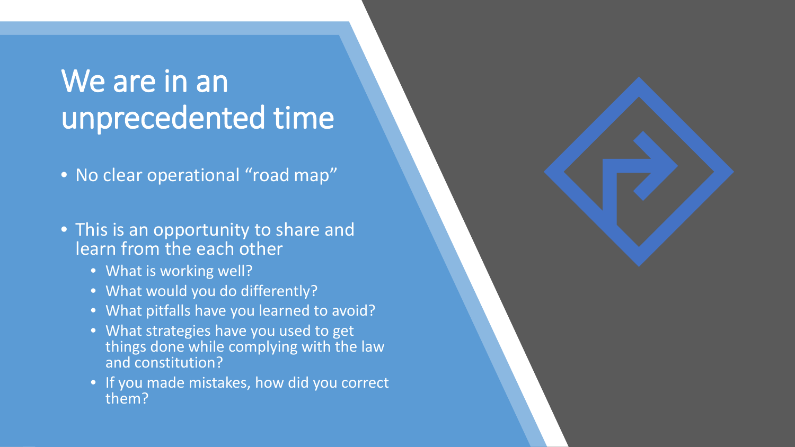### We are in an unprecedented time

• No clear operational "road map"

• This is an opportunity to share and learn from the each other

- What is working well?
- What would you do differently?
- What pitfalls have you learned to avoid?
- What strategies have you used to get things done while complying with the law and constitution?
- If you made mistakes, how did you correct them?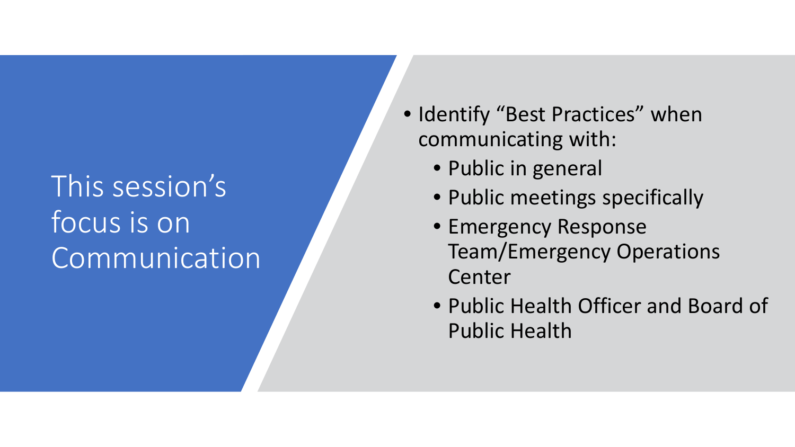### This session's focus is on **Communication**

- Identify "Best Practices" when communicating with:
	- Public in general
	- Public meetings specifically
	- Emergency Response Team/Emergency Operations Center
	- Public Health Officer and Board of Public Health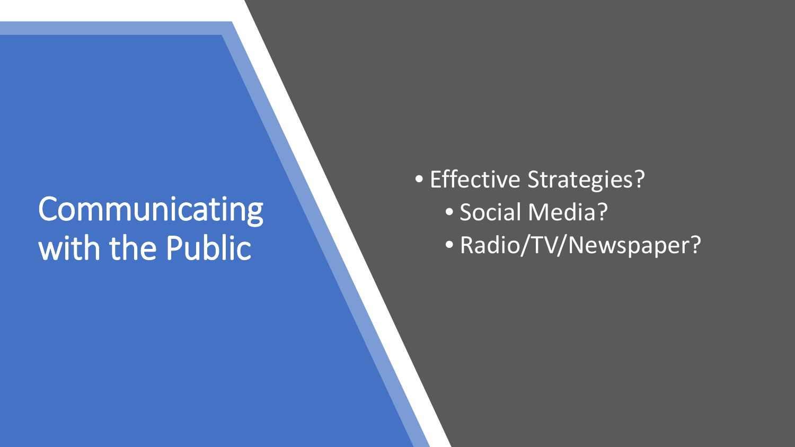## **Communicating** with the Public

• Effective Strategies? • Social Media? • Radio/TV/Newspaper?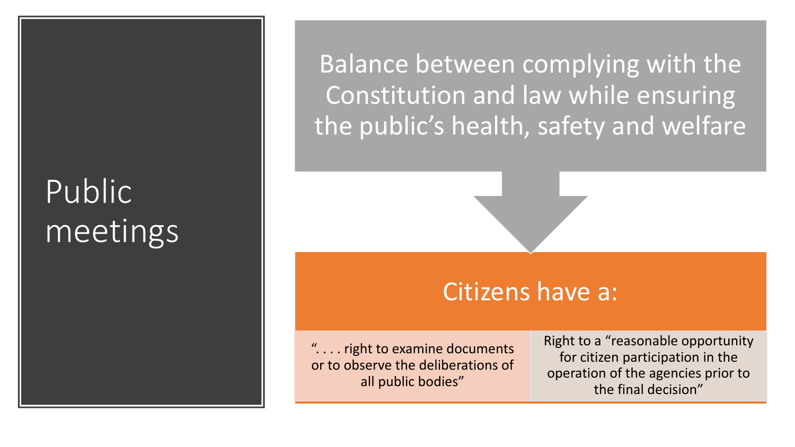# Public meetings

Balance between complying with the Constitution and law while ensuring the public's health, safety and welfare

#### Citizens have a:

". . . . right to examine documents or to observe the deliberations of all public bodies"

Right to a "reasonable opportunity for citizen participation in the operation of the agencies prior to the final decision"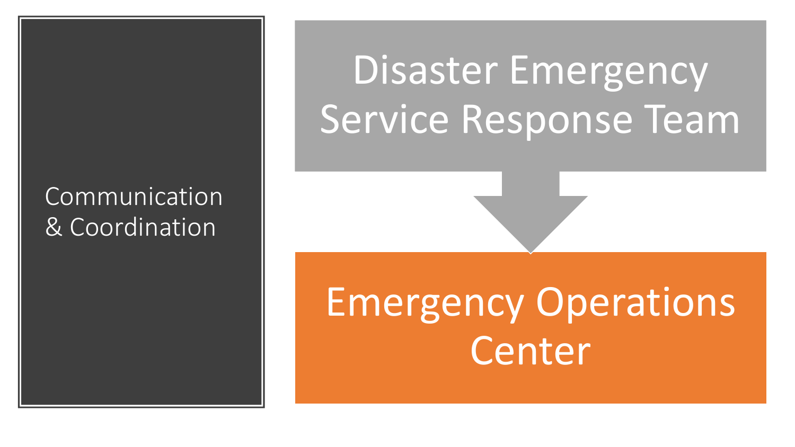### Communication & Coordination

# Disaster Emergency Service Response Team

# Emergency Operations Center